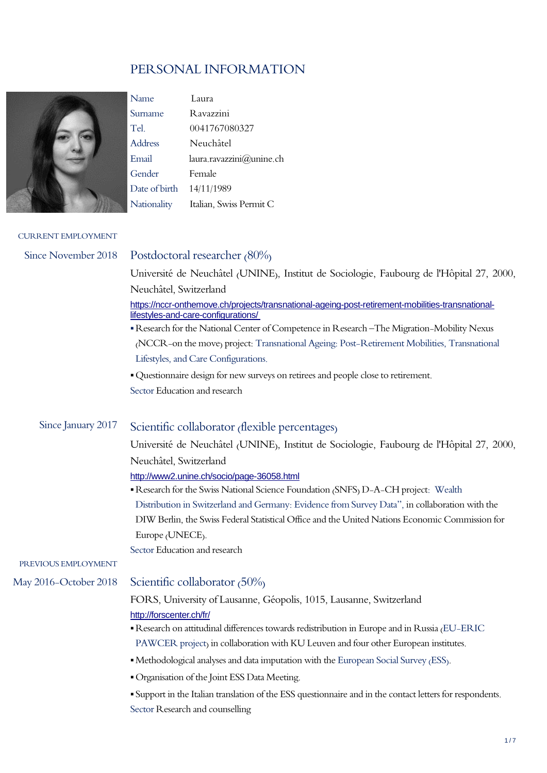## PERSONAL INFORMATION



Name Laura Surname Ravazzini Tel. 0041767080327 Address Neuchâtel Email laura.ravazzini@unine.ch Gender Female Date of birth 14/11/1989 Nationality Italian, Swiss Permit C

#### CURRENT EMPLOYMENT

| Since November 2018   | Postdoctoral researcher (80%)                                                                                                            |
|-----------------------|------------------------------------------------------------------------------------------------------------------------------------------|
|                       | Université de Neuchâtel (UNINE), Institut de Sociologie, Faubourg de l'Hôpital 27, 2000,                                                 |
|                       | Neuchâtel, Switzerland                                                                                                                   |
|                       | https://nccr-onthemove.ch/projects/transnational-ageing-post-retirement-mobilities-transnational-<br>lifestyles-and-care-configurations/ |
|                       | Research for the National Center of Competence in Research - The Migration-Mobility Nexus                                                |
|                       | (NCCR-on the move) project: Transnational Ageing: Post-Retirement Mobilities, Transnational                                              |
|                       | Lifestyles, and Care Configurations.                                                                                                     |
|                       | • Questionnaire design for new surveys on retirees and people close to retirement.                                                       |
|                       | Sector Education and research                                                                                                            |
|                       |                                                                                                                                          |
| Since January 2017    | Scientific collaborator (flexible percentages)                                                                                           |
|                       | Université de Neuchâtel (UNINE), Institut de Sociologie, Faubourg de l'Hôpital 27, 2000,                                                 |
|                       | Neuchâtel, Switzerland                                                                                                                   |
|                       | http://www2.unine.ch/socio/page-36058.html                                                                                               |
|                       | Research for the Swiss National Science Foundation (SNFS) D-A-CH project: Wealth                                                         |
|                       | Distribution in Switzerland and Germany: Evidence from Survey Data", in collaboration with the                                           |
|                       | DIW Berlin, the Swiss Federal Statistical Office and the United Nations Economic Commission for                                          |
|                       | Europe (UNECE).                                                                                                                          |
|                       | Sector Education and research                                                                                                            |
| PREVIOUS EMPLOYMENT   |                                                                                                                                          |
| May 2016–October 2018 | Scientific collaborator $(50\%)$                                                                                                         |
|                       | FORS, University of Lausanne, Géopolis, 1015, Lausanne, Switzerland                                                                      |
|                       | http://forscenter.ch/fr/                                                                                                                 |
|                       | Research on attitudinal differences towards redistribution in Europe and in Russia (EU-ERIC                                              |
|                       | PAWCER project) in collaboration with KU Leuven and four other European institutes.                                                      |
|                       | • Methodological analyses and data imputation with the European Social Survey (ESS).                                                     |
|                       | · Organisation of the Joint ESS Data Meeting.                                                                                            |
|                       | Support in the Italian translation of the ESS questionnaire and in the contact letters for respondents.                                  |
|                       | Sector Research and counselling                                                                                                          |
|                       |                                                                                                                                          |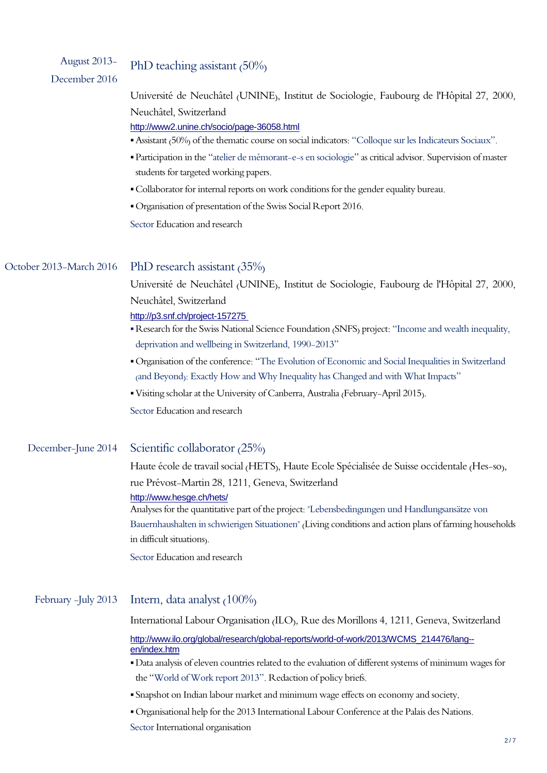| August 2013-<br>December 2016 | PhD teaching assistant $(50\%)$                                                                                                                                                                                                                                                                                                                                                                                         |
|-------------------------------|-------------------------------------------------------------------------------------------------------------------------------------------------------------------------------------------------------------------------------------------------------------------------------------------------------------------------------------------------------------------------------------------------------------------------|
|                               | Université de Neuchâtel (UNINE), Institut de Sociologie, Faubourg de l'Hôpital 27, 2000,<br>Neuchâtel, Switzerland<br>http://www2.unine.ch/socio/page-36058.html                                                                                                                                                                                                                                                        |
|                               | • Assistant (50%) of the thematic course on social indicators: "Colloque sur les Indicateurs Sociaux".<br>• Participation in the "atelier de mémorant-e-s en sociologie" as critical advisor. Supervision of master<br>students for targeted working papers.<br>· Collaborator for internal reports on work conditions for the gender equality bureau.<br>Organisation of presentation of the Swiss Social Report 2016. |
|                               | Sector Education and research                                                                                                                                                                                                                                                                                                                                                                                           |
| October 2013-March 2016       | PhD research assistant $(35\%)$<br>Université de Neuchâtel (UNINE), Institut de Sociologie, Faubourg de l'Hôpital 27, 2000,                                                                                                                                                                                                                                                                                             |
|                               | Neuchâtel, Switzerland<br>http://p3.snf.ch/project-157275<br>Research for the Swiss National Science Foundation (SNFS) project: "Income and wealth inequality,                                                                                                                                                                                                                                                          |

- ▪Organisation of the conference: "The Evolution of Economic and Social Inequalities in Switzerland (and Beyond): Exactly How and Why Inequality has Changed and with What Impacts"
- ▪Visiting scholar at the University of Canberra, Australia (February-April 2015).

deprivation and wellbeing in Switzerland, 1990-2013"

Sector Education and research

#### December-June 2014 Scientific collaborator (25%)

Haute école de travail social (HETS), Haute Ecole Spécialisée de Suisse occidentale (Hes-so), rue Prévost-Martin 28, 1211, Geneva, Switzerland

#### <http://www.hesge.ch/hets/>

Analyses for the quantitative part of the project: "Lebensbedingungen und Handlungsansätze von Bauernhaushalten in schwierigen Situationen" (Living conditions and action plans of farming households in difficult situations).

Sector Education and research

## February -July 2013 Intern, data analyst (100%)

International Labour Organisation (ILO), Rue des Morillons 4, 1211, Geneva, Switzerland

[http://www.ilo.org/global/research/global-reports/world-of-work/2013/WCMS\\_214476/lang-](http://www.ilo.org/global/research/global-reports/world-of-work/2013/WCMS_214476/lang--en/index.htm) [en/index.htm](http://www.ilo.org/global/research/global-reports/world-of-work/2013/WCMS_214476/lang--en/index.htm)

- ▪Data analysis of eleven countries related to the evaluation of different systems of minimum wages for the "World of Work report 2013". Redaction of policy briefs.
- Snapshot on Indian labour market and minimum wage effects on economy and society.
- ▪Organisational help for the 2013 International Labour Conference at the Palais des Nations.

Sector International organisation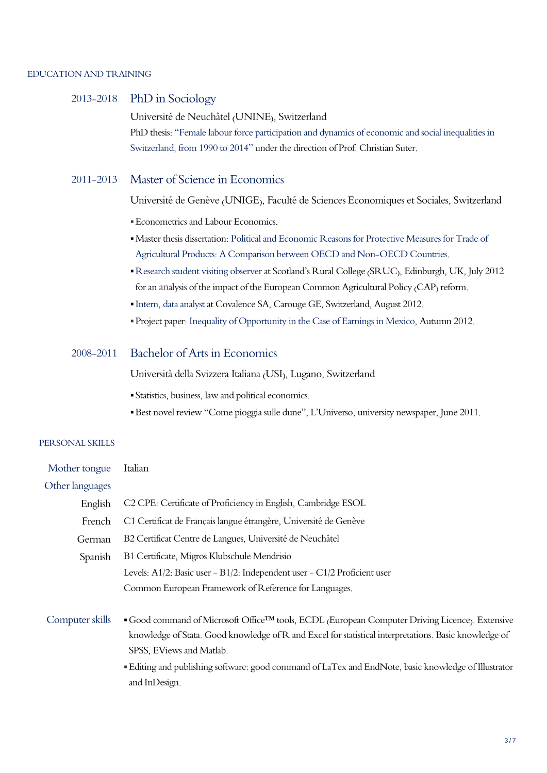#### EDUCATION AND TRAINING

### 2013-2018 PhD in Sociology

Université de Neuchâtel (UNINE), Switzerland PhD thesis: "Female labour force participation and dynamics of economic and social inequalities in Switzerland, from 1990 to 2014" under the direction of Prof. Christian Suter.

### 2011-2013 Master of Science in Economics

Université de Genève (UNIGE), Faculté de Sciences Economiques et Sociales, Switzerland

- **Econometrics and Labour Economics.**
- ▪Master thesis dissertation: Political and Economic Reasons for Protective Measures for Trade of Agricultural Products: A Comparison between OECD and Non-OECD Countries.
- ▪Research student visiting observer at Scotland's Rural College (SRUC), Edinburgh, UK, July 2012 for an analysis of the impact of the European Common Agricultural Policy (CAP) reform.
- ▪Intern, data analyst at Covalence SA, Carouge GE, Switzerland, August 2012.
- ▪Project paper: Inequality of Opportunity in the Case of Earnings in Mexico, Autumn 2012.

#### 2008-2011 Bachelor of Arts in Economics

Università della Svizzera Italiana (USI), Lugano, Switzerland

- Statistics, business, law and political economics.
- ▪Best novel review "Come pioggia sulle dune", L'Universo, university newspaper, June 2011.

#### PERSONAL SKILLS

| Mother tongue   | Italian                                                                                                                                                                                                                                                                                                                                                    |
|-----------------|------------------------------------------------------------------------------------------------------------------------------------------------------------------------------------------------------------------------------------------------------------------------------------------------------------------------------------------------------------|
| Other languages |                                                                                                                                                                                                                                                                                                                                                            |
| English         | C <sub>2</sub> CPE: Certificate of Proficiency in English, Cambridge ESOL                                                                                                                                                                                                                                                                                  |
| French          | C1 Certificat de Français langue étrangère, Université de Genève                                                                                                                                                                                                                                                                                           |
| German          | B2 Certificat Centre de Langues, Université de Neuchâtel                                                                                                                                                                                                                                                                                                   |
| Spanish         | B1 Certificate, Migros Klubschule Mendrisio                                                                                                                                                                                                                                                                                                                |
|                 | Levels: A1/2: Basic user - B1/2: Independent user - C1/2 Proficient user                                                                                                                                                                                                                                                                                   |
|                 | Common European Framework of Reference for Languages.                                                                                                                                                                                                                                                                                                      |
| Computer skills | ■ Good command of Microsoft Office™ tools, ECDL (European Computer Driving Licence). Extensive<br>knowledge of Stata. Good knowledge of R and Excel for statistical interpretations. Basic knowledge of<br>SPSS, EViews and Matlab.<br>Editing and publishing software: good command of LaTex and EndNote, basic knowledge of Illustrator<br>and InDesign. |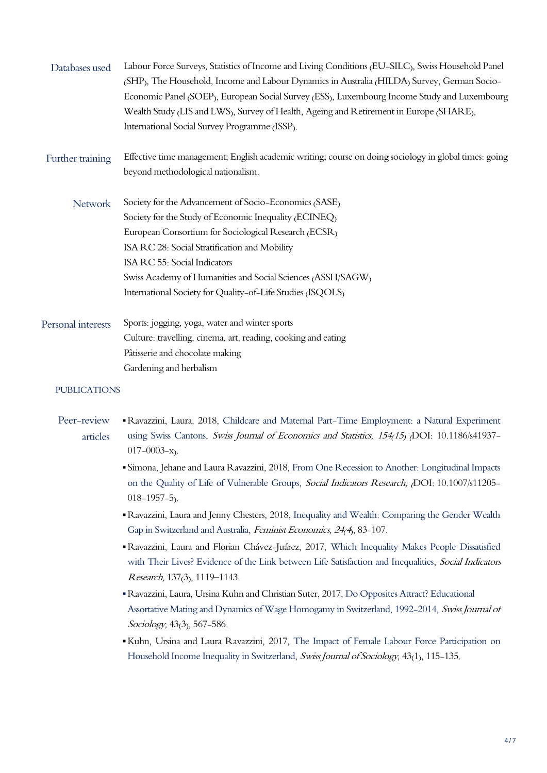| Databases used      | Labour Force Surveys, Statistics of Income and Living Conditions (EU-SILC), Swiss Household Panel     |
|---------------------|-------------------------------------------------------------------------------------------------------|
|                     | (SHP), The Household, Income and Labour Dynamics in Australia (HILDA) Survey, German Socio-           |
|                     | Economic Panel (SOEP), European Social Survey (ESS), Luxembourg Income Study and Luxembourg           |
|                     | Wealth Study (LIS and LWS), Survey of Health, Ageing and Retirement in Europe (SHARE),                |
|                     | International Social Survey Programme (ISSP).                                                         |
| Further training    | Effective time management; English academic writing; course on doing sociology in global times: going |
|                     | beyond methodological nationalism.                                                                    |
| <b>Network</b>      | Society for the Advancement of Socio-Economics (SASE)                                                 |
|                     | Society for the Study of Economic Inequality (ECINEQ)                                                 |
|                     | European Consortium for Sociological Research (ECSR)                                                  |
|                     | ISA RC 28: Social Stratification and Mobility                                                         |
|                     | ISA RC 55: Social Indicators                                                                          |
|                     | Swiss Academy of Humanities and Social Sciences (ASSH/SAGW)                                           |
|                     | International Society for Quality-of-Life Studies (ISQOLS)                                            |
| Personal interests  | Sports: jogging, yoga, water and winter sports                                                        |
|                     | Culture: travelling, cinema, art, reading, cooking and eating                                         |
|                     | Pâtisserie and chocolate making                                                                       |
|                     | Gardening and herbalism                                                                               |
| <b>PUBLICATIONS</b> |                                                                                                       |

- Peer-review articles ▪Ravazzini, Laura, 2018, Childcare and Maternal Part-Time Employment: a Natural Experiment using Swiss Cantons, Swiss Journal of Economics and Statistics, 154(15) (DOI: 10.1186/s41937- $017 - 0003 - x$ .
	- Simona, Jehane and Laura Ravazzini, 2018, From One Recession to Another: Longitudinal Impacts on the Quality of Life of Vulnerable Groups, Social Indicators Research, <sub>(DOI: 10.1007/s11205-</sub> 018-1957-5).
	- ▪Ravazzini, Laura and Jenny Chesters, 2018, Inequality and Wealth: Comparing the Gender Wealth Gap in Switzerland and Australia, Feminist Economics, 24(4), 83-107.
	- ▪Ravazzini, Laura and Florian Chávez-Juárez, 2017, Which Inequality Makes People Dissatisfied with Their Lives? Evidence of the Link between Life Satisfaction and Inequalities, Social Indicators Research, 137(3), 1119–1143.
	- ▪Ravazzini, Laura, Ursina Kuhn and Christian Suter, 2017, Do Opposites Attract? Educational Assortative Mating and Dynamics of Wage Homogamy in Switzerland, 1992-2014, Swiss Journal of Sociology, 43<sub>(3)</sub>, 567-586.
	- ▪Kuhn, Ursina and Laura Ravazzini, 2017, The Impact of Female Labour Force Participation on Household Income Inequality in Switzerland, Swiss Journal of Sociology, 43(1), 115-135.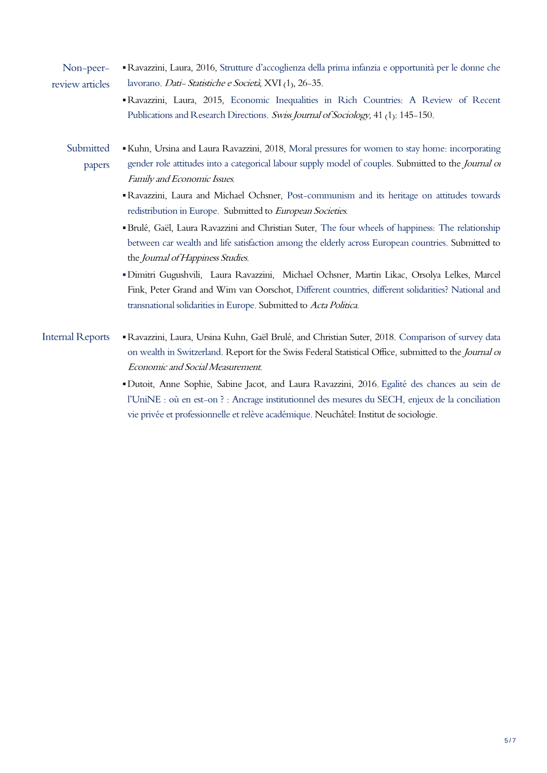- Non-peerreview articles ▪Ravazzini, Laura, 2016, Strutture d'accoglienza della prima infanzia e opportunità per le donne che lavorano. Dati- Statistiche e Società, XVI (1), 26-35.
	- ▪Ravazzini, Laura, 2015, Economic Inequalities in Rich Countries: A Review of Recent Publications and Research Directions. Swiss Journal of Sociology, 41 (1): 145-150.
	- **Submitted** papers ▪Kuhn, Ursina and Laura Ravazzini, 2018, Moral pressures for women to stay home: incorporating gender role attitudes into a categorical labour supply model of couples. Submitted to the *Journal of* Family and Economic Issues.
		- ▪Ravazzini, Laura and Michael Ochsner, Post-communism and its heritage on attitudes towards redistribution in Europe. Submitted to European Societies.
		- ▪Brulé, Gaël, Laura Ravazzini and Christian Suter, The four wheels of happiness: The relationship between car wealth and life satisfaction among the elderly across European countries. Submitted to the Journal of Happiness Studies.
		- ▪Dimitri Gugushvili, Laura Ravazzini, Michael Ochsner, Martin Likac, Orsolya Lelkes, Marcel Fink, Peter Grand and Wim van Oorschot, Different countries, different solidarities? National and transnational solidarities in Europe. Submitted to Acta Politica.
- Internal Reports ▪Ravazzini, Laura, Ursina Kuhn, Gaël Brulé, and Christian Suter, 2018. Comparison of survey data on wealth in Switzerland. Report for the Swiss Federal Statistical Office, submitted to the *Journal of* Economic and Social Measurement.
	- ▪[Dutoit, Anne Sophie, Sabine Jacot, and Laura Ravazzini, 2016.](https://libra.unine.ch/Publications/Laura_Ravazzini/34340) Egalité des chances au sein de l'UniNE : où en est[-on ? : Ancrage institutionnel des mesures du SECH, enjeux de la conciliation](https://libra.unine.ch/Publications/Laura_Ravazzini/34340)  [vie privée et professionnelle et relève académique.](https://libra.unine.ch/Publications/Laura_Ravazzini/34340) Neuchâtel: Institut de sociologie.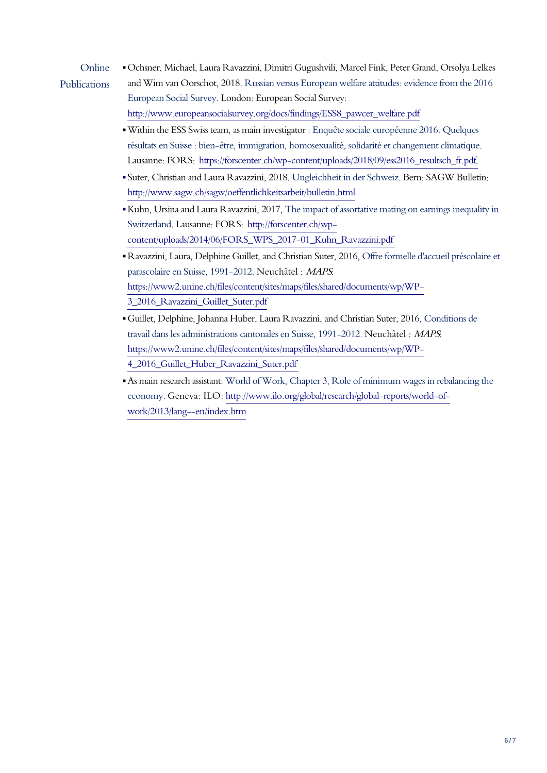# Online

Publications

▪Ochsner, Michael, Laura Ravazzini, Dimitri Gugushvili, Marcel Fink, Peter Grand, Orsolya Lelkes and Wim van Oorschot, 2018. Russian versus European welfare attitudes: evidence from the 2016 European Social Survey. London: European Social Survey: [http://www.europeansocialsurvey.org/docs/findings/ESS8\\_pawcer\\_welfare.pdf](http://www.europeansocialsurvey.org/docs/findings/ESS8_pawcer_welfare.pdf)

- ▪Within the ESS Swiss team, as main investigator : Enquête sociale européenne 2016. Quelques résultats en Suisse : bien-être, immigration, homosexualité, solidarité et changement climatique. Lausanne: FORS: https://forscenter.ch/wp-content/uploads/2018/09/ess2016\_resultsch\_fr.pdf.
- Suter, Christian and Laura Ravazzini, 2018. Ungleichheit in der Schweiz. Bern: SAGW Bulletin: <http://www.sagw.ch/sagw/oeffentlichkeitsarbeit/bulletin.html>
- ▪Kuhn, Ursina and Laura Ravazzini, 2017, The impact of assortative mating on earnings inequality in Switzerland. Lausanne: FORS: [http://forscenter.ch/wp](http://forscenter.ch/wp-content/uploads/2014/06/FORS_WPS_2017-01_Kuhn_Ravazzini.pdf)[content/uploads/2014/06/FORS\\_WPS\\_2017-01\\_Kuhn\\_Ravazzini.pdf](http://forscenter.ch/wp-content/uploads/2014/06/FORS_WPS_2017-01_Kuhn_Ravazzini.pdf)
- ▪Ravazzini, Laura, Delphine Guillet, and Christian Suter, 2016, Offre formelle d'accueil préscolaire et parascolaire en Suisse, 1991-2012. Neuchâtel : MAPS: https://www2.unine.ch/files/content/sites/maps/files/shared/documents/wp/WP-3\_2016\_Ravazzini\_Guillet\_Suter.pdf
- ▪Guillet, Delphine, Johanna Huber, Laura Ravazzini, and Christian Suter, 2016, Conditions de travail dans les administrations cantonales en Suisse, 1991-2012. Neuchâtel : MAPS: [https://www2.unine.ch/files/content/sites/maps/files/shared/documents/wp/WP-](https://www2.unine.ch/files/content/sites/maps/files/shared/documents/wp/WP-4_2016_Guillet_Huber_Ravazzini_Suter.pdf)[4\\_2016\\_Guillet\\_Huber\\_Ravazzini\\_Suter.pdf](https://www2.unine.ch/files/content/sites/maps/files/shared/documents/wp/WP-4_2016_Guillet_Huber_Ravazzini_Suter.pdf)
- ▪As main research assistant: World of Work, Chapter 3, Role of minimum wages in rebalancing the economy. Geneva: ILO: [http://www.ilo.org/global/research/global-reports/world-of](http://www.ilo.org/global/research/global-reports/world-of-work/2013/lang--en/index.htm)[work/2013/lang--en/index.htm](http://www.ilo.org/global/research/global-reports/world-of-work/2013/lang--en/index.htm)